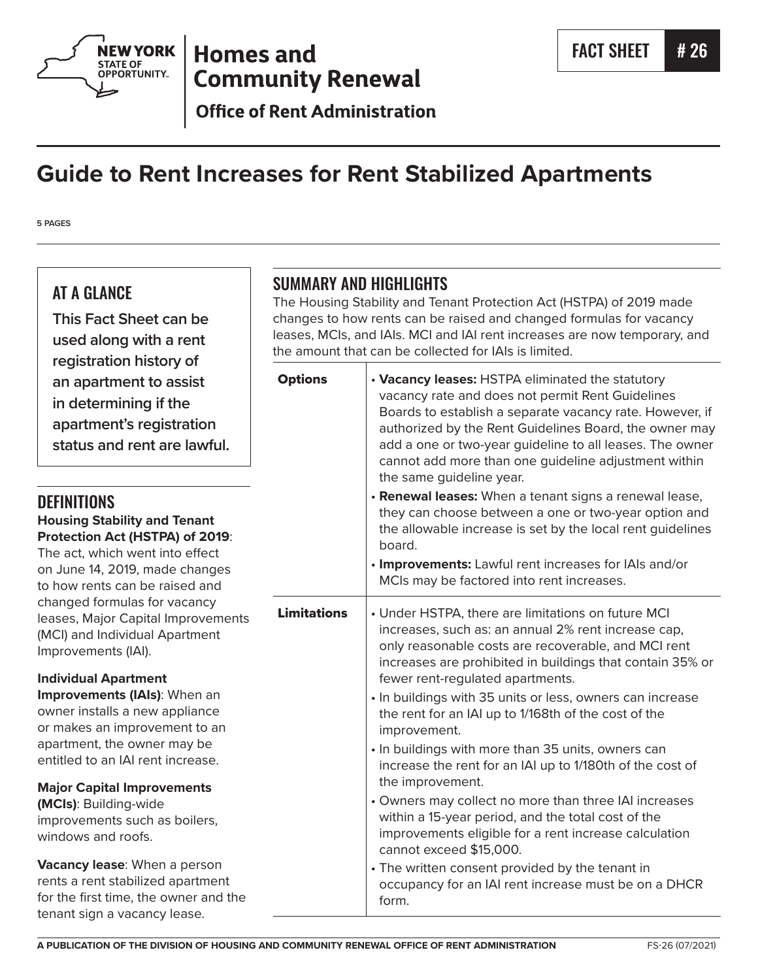

# **Homes and Community Renewal**

**Office of Rent Administration** 

# **Guide to Rent Increases for Rent Stabilized Apartments**

**5 PAGES**

## AT A GLANCE

**This Fact Sheet can be used along with a rent registration history of an apartment to assist in determining if the apartment's registration status and rent are lawful.**

### **DEFINITIONS**

**Housing Stability and Tenant Protection Act (HSTPA) of 2019**:

## The act, which went into effect on June 14, 2019, made changes to how rents can be raised and changed formulas for vacancy leases, Major Capital Improvement (MCI) and Individual Apartment Improvements (IAI). **Individual Apartment**  the same guideline year. board. MCIs may be factored into rent increases.

**Improvements (IAIs)**: When an owner installs a new appliance or makes an improvement to an apartment, the owner may be entitled to an IAI rent increase.

#### **Major Capital Improvements (MCIs)**: Building-wide improvements such as boilers, windows and roofs.

**Vacancy lease**: When a person rents a rent stabilized apartment for the first time, the owner and the tenant sign a vacancy lease.

## SUMMARY AND HIGHLIGHTS

The Housing Stability and Tenant Protection Act (HSTPA) of 2019 made changes to how rents can be raised and changed formulas for vacancy leases, MCIs, and IAIs. MCI and IAI rent increases are now temporary, and the amount that can be collected for IAIs is limited.

|    | <b>Options</b>     | • Vacancy leases: HSTPA eliminated the statutory<br>vacancy rate and does not permit Rent Guidelines<br>Boards to establish a separate vacancy rate. However, if<br>authorized by the Rent Guidelines Board, the owner may<br>add a one or two-year guideline to all leases. The owner<br>cannot add more than one guideline adjustment within<br>the same guideline year.<br>• Renewal leases: When a tenant signs a renewal lease,<br>they can choose between a one or two-year option and<br>the allowable increase is set by the local rent guidelines<br>board.<br>• Improvements: Lawful rent increases for IAIs and/or<br>MCIs may be factored into rent increases. |
|----|--------------------|----------------------------------------------------------------------------------------------------------------------------------------------------------------------------------------------------------------------------------------------------------------------------------------------------------------------------------------------------------------------------------------------------------------------------------------------------------------------------------------------------------------------------------------------------------------------------------------------------------------------------------------------------------------------------|
| ts | <b>Limitations</b> | • Under HSTPA, there are limitations on future MCI<br>increases, such as: an annual 2% rent increase cap,<br>only reasonable costs are recoverable, and MCI rent<br>increases are prohibited in buildings that contain 35% or<br>fewer rent-regulated apartments.<br>• In buildings with 35 units or less, owners can increase<br>the rent for an IAI up to 1/168th of the cost of the<br>improvement.<br>• In buildings with more than 35 units, owners can<br>increase the rent for an IAI up to 1/180th of the cost of<br>the improvement.<br>• Owners may collect no more than three IAI increases<br>within a 15-year period, and the total cost of the               |
| е  |                    | improvements eligible for a rent increase calculation<br>cannot exceed \$15,000.<br>• The written consent provided by the tenant in<br>occupancy for an IAI rent increase must be on a DHCR<br>form.                                                                                                                                                                                                                                                                                                                                                                                                                                                                       |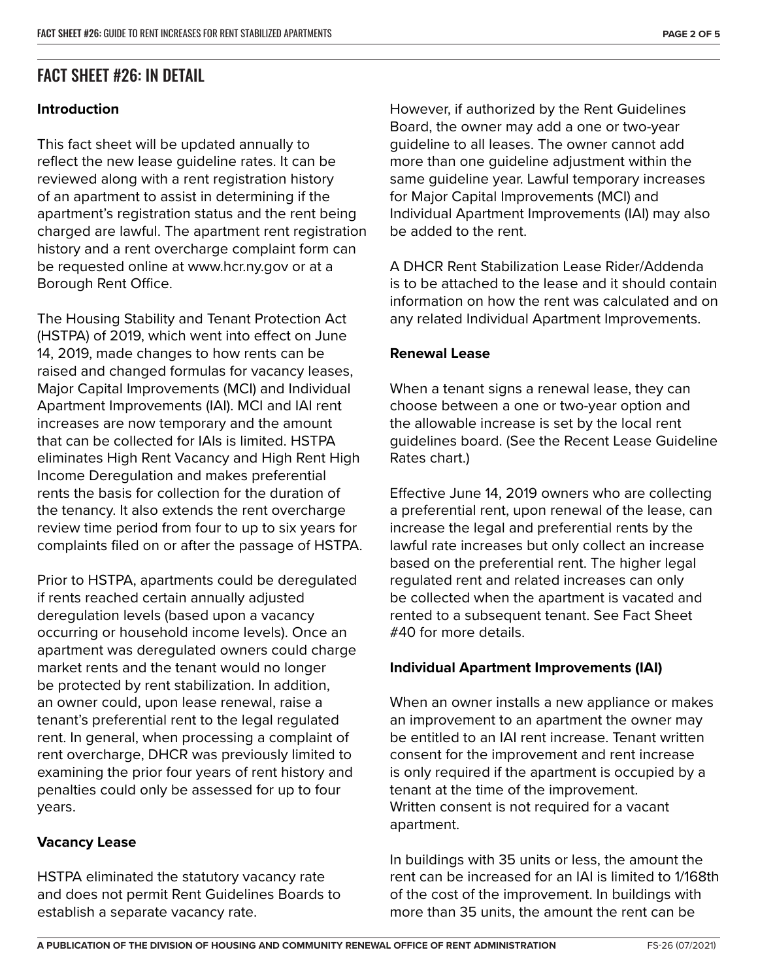## FACT SHEET #26: IN DETAIL

#### **Introduction**

This fact sheet will be updated annually to reflect the new lease guideline rates. It can be reviewed along with a rent registration history of an apartment to assist in determining if the apartment's registration status and the rent being charged are lawful. The apartment rent registration history and a rent overcharge complaint form can be requested online at www.hcr.ny.gov or at a Borough Rent Office.

The Housing Stability and Tenant Protection Act (HSTPA) of 2019, which went into effect on June 14, 2019, made changes to how rents can be raised and changed formulas for vacancy leases, Major Capital Improvements (MCI) and Individual Apartment Improvements (IAI). MCI and IAI rent increases are now temporary and the amount that can be collected for IAIs is limited. HSTPA eliminates High Rent Vacancy and High Rent High Income Deregulation and makes preferential rents the basis for collection for the duration of the tenancy. It also extends the rent overcharge review time period from four to up to six years for complaints filed on or after the passage of HSTPA.

Prior to HSTPA, apartments could be deregulated if rents reached certain annually adjusted deregulation levels (based upon a vacancy occurring or household income levels). Once an apartment was deregulated owners could charge market rents and the tenant would no longer be protected by rent stabilization. In addition, an owner could, upon lease renewal, raise a tenant's preferential rent to the legal regulated rent. In general, when processing a complaint of rent overcharge, DHCR was previously limited to examining the prior four years of rent history and penalties could only be assessed for up to four years.

#### **Vacancy Lease**

HSTPA eliminated the statutory vacancy rate and does not permit Rent Guidelines Boards to establish a separate vacancy rate.

However, if authorized by the Rent Guidelines Board, the owner may add a one or two-year guideline to all leases. The owner cannot add more than one guideline adjustment within the same guideline year. Lawful temporary increases for Major Capital Improvements (MCI) and Individual Apartment Improvements (IAI) may also be added to the rent.

A DHCR Rent Stabilization Lease Rider/Addenda is to be attached to the lease and it should contain information on how the rent was calculated and on any related Individual Apartment Improvements.

#### **Renewal Lease**

When a tenant signs a renewal lease, they can choose between a one or two-year option and the allowable increase is set by the local rent guidelines board. (See the Recent Lease Guideline Rates chart.)

Effective June 14, 2019 owners who are collecting a preferential rent, upon renewal of the lease, can increase the legal and preferential rents by the lawful rate increases but only collect an increase based on the preferential rent. The higher legal regulated rent and related increases can only be collected when the apartment is vacated and rented to a subsequent tenant. See Fact Sheet #40 for more details.

#### **Individual Apartment Improvements (IAI)**

When an owner installs a new appliance or makes an improvement to an apartment the owner may be entitled to an IAI rent increase. Tenant written consent for the improvement and rent increase is only required if the apartment is occupied by a tenant at the time of the improvement. Written consent is not required for a vacant apartment.

In buildings with 35 units or less, the amount the rent can be increased for an IAI is limited to 1/168th of the cost of the improvement. In buildings with more than 35 units, the amount the rent can be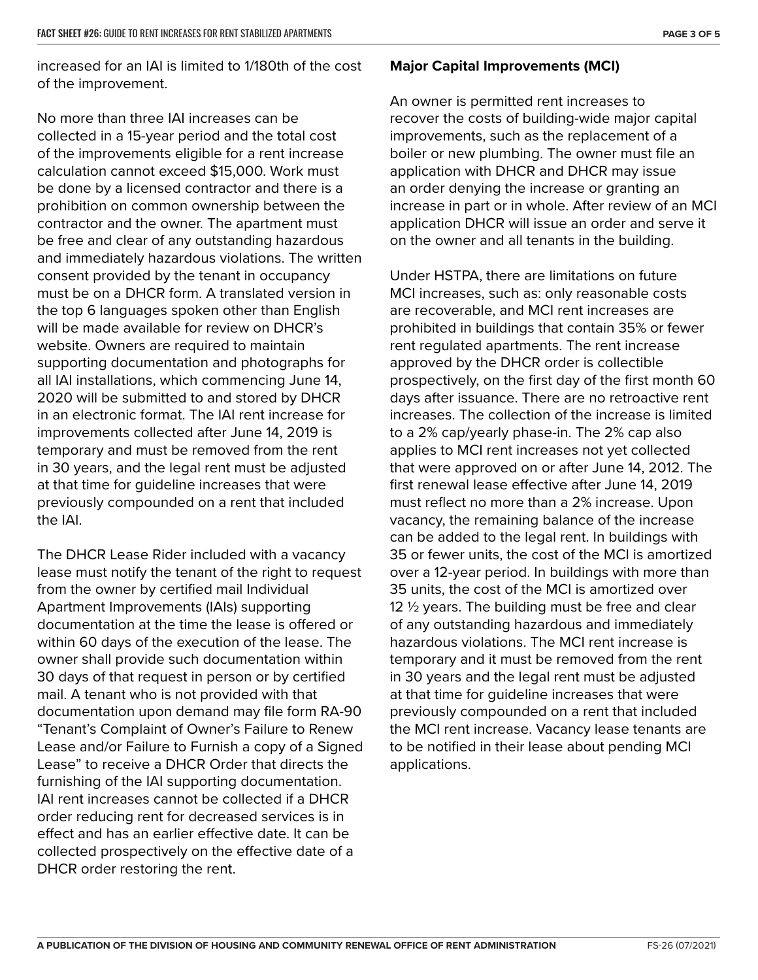increased for an IAI is limited to 1/180th of the cost of the improvement.

No more than three IAI increases can be collected in a 15-year period and the total cost of the improvements eligible for a rent increase calculation cannot exceed \$15,000. Work must be done by a licensed contractor and there is a prohibition on common ownership between the contractor and the owner. The apartment must be free and clear of any outstanding hazardous and immediately hazardous violations. The written consent provided by the tenant in occupancy must be on a DHCR form. A translated version in the top 6 languages spoken other than English will be made available for review on DHCR's website. Owners are required to maintain supporting documentation and photographs for all IAI installations, which commencing June 14, 2020 will be submitted to and stored by DHCR in an electronic format. The IAI rent increase for improvements collected after June 14, 2019 is temporary and must be removed from the rent in 30 years, and the legal rent must be adjusted at that time for guideline increases that were previously compounded on a rent that included the IAI.

The DHCR Lease Rider included with a vacancy lease must notify the tenant of the right to request from the owner by certified mail Individual Apartment Improvements (IAIs) supporting documentation at the time the lease is offered or within 60 days of the execution of the lease. The owner shall provide such documentation within 30 days of that request in person or by certified mail. A tenant who is not provided with that documentation upon demand may file form RA-90 "Tenant's Complaint of Owner's Failure to Renew Lease and/or Failure to Furnish a copy of a Signed Lease" to receive a DHCR Order that directs the furnishing of the IAI supporting documentation. IAI rent increases cannot be collected if a DHCR order reducing rent for decreased services is in effect and has an earlier effective date. It can be collected prospectively on the effective date of a DHCR order restoring the rent.

#### **Major Capital Improvements (MCI)**

An owner is permitted rent increases to recover the costs of building-wide major capital improvements, such as the replacement of a boiler or new plumbing. The owner must file an application with DHCR and DHCR may issue an order denying the increase or granting an increase in part or in whole. After review of an MCI application DHCR will issue an order and serve it on the owner and all tenants in the building.

Under HSTPA, there are limitations on future MCI increases, such as: only reasonable costs are recoverable, and MCI rent increases are prohibited in buildings that contain 35% or fewer rent regulated apartments. The rent increase approved by the DHCR order is collectible prospectively, on the first day of the first month 60 days after issuance. There are no retroactive rent increases. The collection of the increase is limited to a 2% cap/yearly phase-in. The 2% cap also applies to MCI rent increases not yet collected that were approved on or after June 14, 2012. The first renewal lease effective after June 14, 2019 must reflect no more than a 2% increase. Upon vacancy, the remaining balance of the increase can be added to the legal rent. In buildings with 35 or fewer units, the cost of the MCI is amortized over a 12-year period. In buildings with more than 35 units, the cost of the MCI is amortized over 12 ½ years. The building must be free and clear of any outstanding hazardous and immediately hazardous violations. The MCI rent increase is temporary and it must be removed from the rent in 30 years and the legal rent must be adjusted at that time for guideline increases that were previously compounded on a rent that included the MCI rent increase. Vacancy lease tenants are to be notified in their lease about pending MCI applications.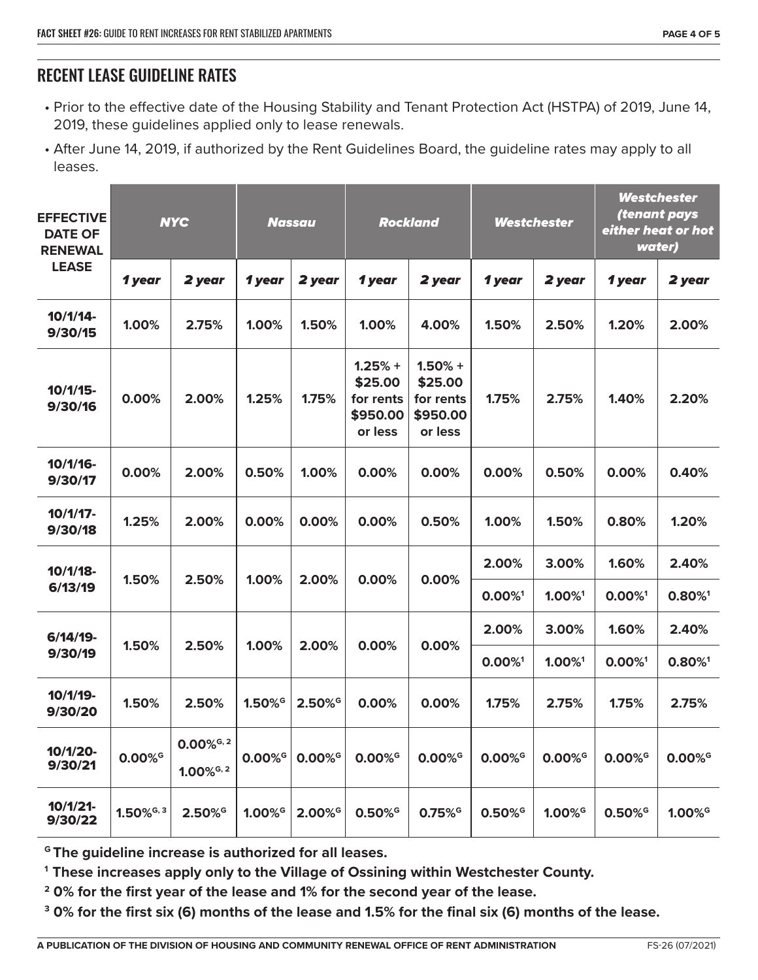## RECENT LEASE GUIDELINE RATES

- Prior to the effective date of the Housing Stability and Tenant Protection Act (HSTPA) of 2019, June 14, 2019, these guidelines applied only to lease renewals.
- After June 14, 2019, if authorized by the Rent Guidelines Board, the guideline rates may apply to all leases.

| <b>EFFECTIVE</b><br><b>DATE OF</b><br><b>RENEWAL</b> | <b>NYC</b>               |                                                      | <b>Nassau</b>         |                       | <b>Rockland</b>                                          |                                                          | <b>Westchester</b>             |                       | <b>Westchester</b><br>(tenant pays<br>either heat or hot<br>water) |                                |
|------------------------------------------------------|--------------------------|------------------------------------------------------|-----------------------|-----------------------|----------------------------------------------------------|----------------------------------------------------------|--------------------------------|-----------------------|--------------------------------------------------------------------|--------------------------------|
| <b>LEASE</b>                                         | 1 year                   | 2 year                                               | 1 year                | 2 year                | 1 year                                                   | 2 year                                                   | 1 year                         | 2 year                | 1 year                                                             | 2 year                         |
| 10/1/14<br>9/30/15                                   | 1.00%                    | 2.75%                                                | 1.00%                 | 1.50%                 | 1.00%                                                    | 4.00%                                                    | 1.50%                          | 2.50%                 | 1.20%                                                              | 2.00%                          |
| $10/1/15$ -<br>9/30/16                               | 0.00%                    | 2.00%                                                | 1.25%                 | 1.75%                 | $1.25% +$<br>\$25.00<br>for rents<br>\$950.00<br>or less | $1.50% +$<br>\$25.00<br>for rents<br>\$950.00<br>or less | 1.75%                          | 2.75%                 | 1.40%                                                              | 2.20%                          |
| $10/1/16$ -<br>9/30/17                               | 0.00%                    | 2.00%                                                | 0.50%                 | 1.00%                 | 0.00%                                                    | 0.00%                                                    | 0.00%                          | 0.50%                 | 0.00%                                                              | 0.40%                          |
| $10/1/17$ -<br>9/30/18                               | 1.25%                    | 2.00%                                                | 0.00%                 | 0.00%                 | 0.00%                                                    | 0.50%                                                    | 1.00%                          | 1.50%                 | 0.80%                                                              | 1.20%                          |
| $10/1/18$ -<br>6/13/19                               | 1.50%                    | 2.50%                                                | 1.00%                 | 2.00%                 | 0.00%                                                    | 0.00%                                                    | 2.00%<br>$0.00\%$ <sup>1</sup> | 3.00%<br>1.00%        | 1.60%<br>$0.00\%$ <sup>1</sup>                                     | 2.40%<br>$0.80\%$ <sup>1</sup> |
| $6/14/19$ -                                          | 1.50%                    | 2.50%                                                | 1.00%                 | 2.00%                 | 0.00%                                                    | 0.00%                                                    | 2.00%                          | 3.00%                 | 1.60%                                                              | 2.40%                          |
| 9/30/19                                              |                          |                                                      |                       |                       |                                                          |                                                          | $0.00\%$ <sup>1</sup>          | 1.00%                 | $0.00\%$ <sup>1</sup>                                              | $0.80\%$ <sup>1</sup>          |
| $10/1/19$ -<br>9/30/20                               | 1.50%                    | 2.50%                                                | $1.50\%$ <sup>G</sup> | 2.50% <sup>G</sup>    | 0.00%                                                    | 0.00%                                                    | 1.75%                          | 2.75%                 | 1.75%                                                              | 2.75%                          |
| 10/1/20-<br>9/30/21                                  | $0.00\%$ <sup>G</sup>    | $0.00\%$ <sup>G, 2</sup><br>$1.00\%$ <sup>G, 2</sup> | 0.00% <sup>G</sup>    | $0.00\%$ <sup>G</sup> | 0.00% <sup>G</sup>                                       | 0.00% <sup>G</sup>                                       | 0.00% <sup>G</sup>             | $0.00\%$ <sup>G</sup> | 0.00% <sup>G</sup>                                                 | 0.00% <sup>G</sup>             |
| 10/1/21-<br>9/30/22                                  | $1.50\%$ <sup>G, 3</sup> | 2.50%                                                | 1.00% <sup>G</sup>    | $2.00\%$ <sup>G</sup> | 0.50%                                                    | 0.75%                                                    | $0.50\%$ <sup>G</sup>          | 1.00% <sup>G</sup>    | 0.50%                                                              | 1.00% <sup>G</sup>             |

**G The guideline increase is authorized for all leases.**

**1 These increases apply only to the Village of Ossining within Westchester County.**

**2 0% for the first year of the lease and 1% for the second year of the lease.**

**3 0% for the first six (6) months of the lease and 1.5% for the final six (6) months of the lease.**